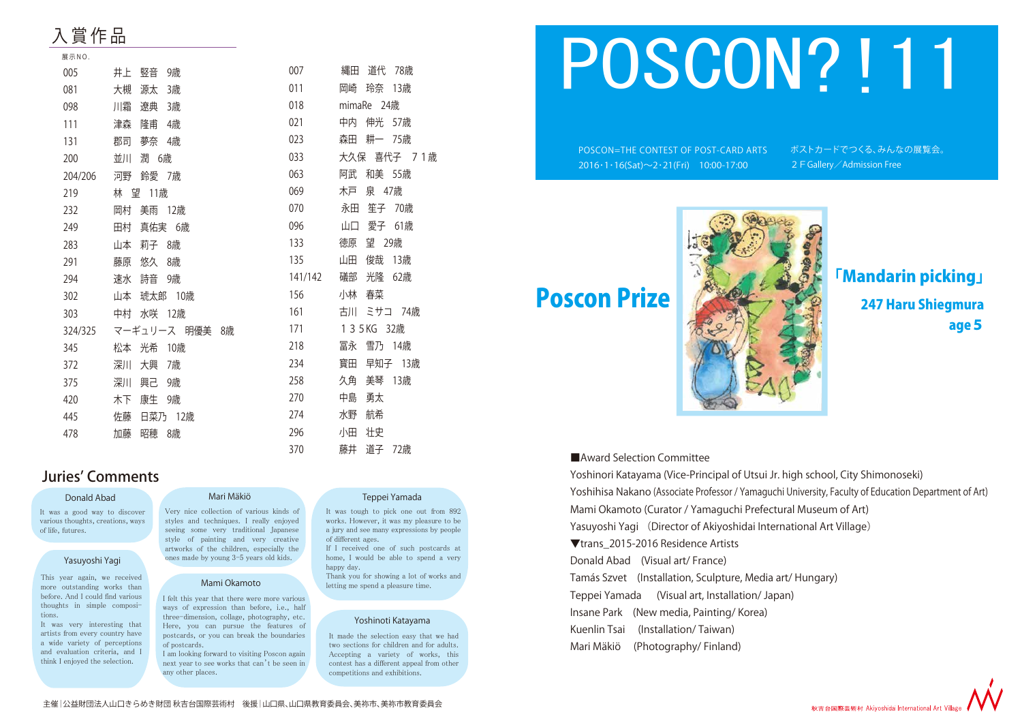## 入 賞 **作 品**

| 展示NO.   |                 |         |                 |
|---------|-----------------|---------|-----------------|
| 005     | 竪音<br>9歳<br>井上  | 007     | 道代<br>78歳<br>縄田 |
| 081     | 大槻<br>源太<br>3歳  | 011     | 玲奈<br>岡崎<br>13歳 |
| 098     | 遼典<br>川霜<br>3歳  | 018     | mimaRe 24歳      |
| 111     | 津森<br>隆甫<br>4歳  | 021     | 伸光 57歳<br>中内    |
| 131     | 郡司<br>夢奈<br>4歳  | 023     | 耕一 75歳<br>森田    |
| 200     | 潤 6歳<br>並川      | 033     | 大久保 喜代子 71歳     |
| 204/206 | 河野<br>鈴愛 7歳     | 063     | 和美 55歳<br>阿武    |
| 219     | 林 望 11歳         | 069     | 木戸<br>泉 47歳     |
| 232     | 美雨<br>岡村<br>12歳 | 070     | 笙子 70歳<br>永田    |
| 249     | 真佑実 6歳<br>田村    | 096     | 愛子 61歳<br>山口    |
| 283     | 莉子<br>山本<br>8歳  | 133     | 望 29歳<br>徳原     |
| 291     | 藤原<br>悠久<br>8歳  | 135     | 俊哉<br>山田<br>13歳 |
| 294     | 詩音<br>速水<br>9歳  | 141/142 | 光隆<br>礒部<br>62歳 |
| 302     | 琥太郎 10歳<br>山本   | 156     | 春菜<br>小林        |
| 303     | 水咲 12歳<br>中村    | 161     | ミサコ 74歳<br>古川   |
| 324/325 | マーギュリース 明優美 8歳  | 171     | 1 3 5 KG 32歳    |
| 345     | 光希<br>10歳<br>松本 | 218     | 冨永<br>雪乃 14歳    |
| 372     | 深川<br>大興<br>7歳  | 234     | 早知子 13歳<br>寳田   |
| 375     | 深川<br>興己<br>9歳  | 258     | 美琴<br>久角<br>13歳 |
| 420     | 康生<br>9歳<br>木下  | 270     | 中島<br>勇太        |
| 445     | 佐藤<br>日菜乃 12歳   | 274     | 航希<br>水野        |
| 478     | 昭穂<br>加藤<br>8歳  | 296     | 壮史<br>小田        |
|         |                 | 370     | 藤井<br>道子<br>72歳 |

# POSCON=THE CONTEST OF POST-CARD ARTS ポストカードでつくる、みんなの展覧会。  $2016 \cdot 1 \cdot 16(Sat) \sim 2 \cdot 21(Fri)$  10:00-17:00 2 F Gallery Admission Free POSCON?!11

■Award Selection Committee



## age5 「Mandarin picking」



### Juries' Comments

### Donald Abad

It was a good way to discover various thoughts, creations, ways of life, futures.

### Mari Mäkiö

Very nice collection of various kinds of styles and techniques. I really enjoyed seeing some very traditional Japanese style of painting and very creative artworks of the children, especially the ones made by young 3-5 years old kids.

### Mami Okamoto

I felt this year that there were more various ways of expression than before, i.e., half three-dimension, collage, photography, etc. Here, you can pursue the features of postcards, or you can break the boundaries of postcards.

I am looking forward to visiting Poscon again next year to see works that can't be seen in any other places.

### Yoshinoti Katayama

It made the selection easy that we had two sections for children and for adults. Accepting a variety of works, this contest has a different appeal from other competitions and exhibitions.

### Yasuyoshi Yagi

This year again, we received more outstanding works than before. And I could find various thoughts in simple compositions.

It was very interesting that artists from every country have a wide variety of perceptions and evaluation criteria, and I think I enjoyed the selection.

### Teppei Yamada

It was tough to pick one out from 892 works. However, it was my pleasure to be a jury and see many expressions by people of different ages.

If I received one of such postcards at home, I would be able to spend a very happy day.

Thank you for showing a lot of works and letting me spend a pleasure time.

Yoshinori Katayama (Vice-Principal of Utsui Jr. high school, City Shimonoseki) Yoshihisa Nakano (Associate Professor / Yamaguchi University, Faculty of Education Department of Art) Mami Okamoto (Curator / Yamaguchi Prefectural Museum of Art) Yasuyoshi Yagi (Director of Akiyoshidai International Art Village) ▼trans\_2015-2016 Residence Artists Donald Abad (Visual art/ France) Tamás Szvet (Installation, Sculpture, Media art/ Hungary) Teppei Yamada (Visual art, Installation/ Japan) Insane Park (New media, Painting/ Korea) Kuenlin Tsai (Installation/ Taiwan) Mari Mäkiö (Photography/ Finland)